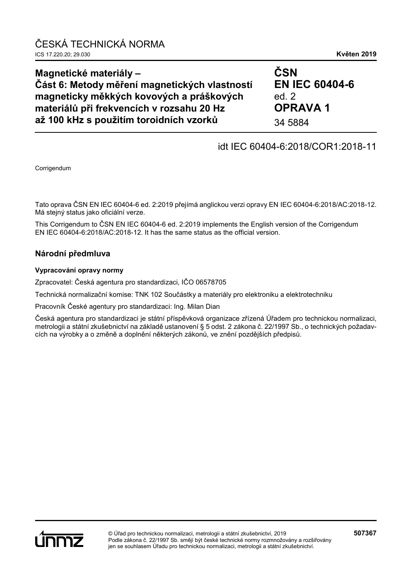| Magnetické materiály –                        | <b>CSN</b>            |
|-----------------------------------------------|-----------------------|
| Část 6: Metody měření magnetických vlastností | <b>EN IEC 60404-6</b> |
| magneticky měkkých kovových a práškových      | ed. $2$               |
| materiálů při frekvencích v rozsahu 20 Hz     | <b>OPRAVA1</b>        |
| až 100 kHz s použitím toroidních vzorků       | 34 5884               |

### idt IEC 60404-6:2018/COR1:2018-11

Corrigendum

Tato oprava ČSN EN IEC 60404-6 ed. 2:2019 přejímá anglickou verzi opravy EN IEC 60404-6:2018/AC:2018-12. Má stejný status jako oficiální verze.

This Corrigendum to ČSN EN IEC 60404-6 ed. 2:2019 implements the English version of the Corrigendum EN IEC 60404-6:2018/AC:2018-12. It has the same status as the official version.

### **Národní předmluva**

#### **Vypracování opravy normy**

Zpracovatel: Česká agentura pro standardizaci, IČO 06578705

Technická normalizační komise: TNK 102 Součástky a materiály pro elektroniku a elektrotechniku

Pracovník České agentury pro standardizaci: Ing. Milan Dian

Česká agentura pro standardizaci je státní příspěvková organizace zřízená Úřadem pro technickou normalizaci, metrologii a státní zkušebnictví na základě ustanovení § 5 odst. 2 zákona č. 22/1997 Sb., o technických požadavcích na výrobky a o změně a doplnění některých zákonů, ve znění pozdějších předpisů.

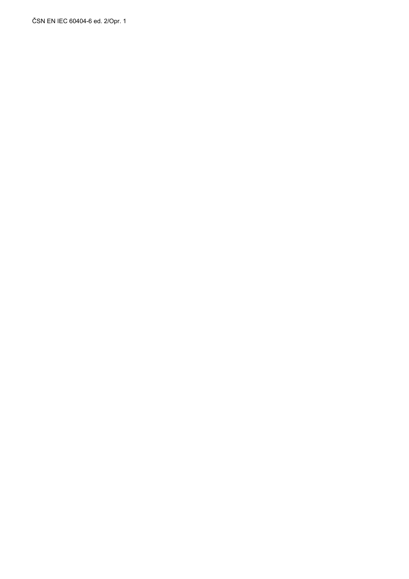ČSN EN IEC 60404-6 ed. 2/Opr. 1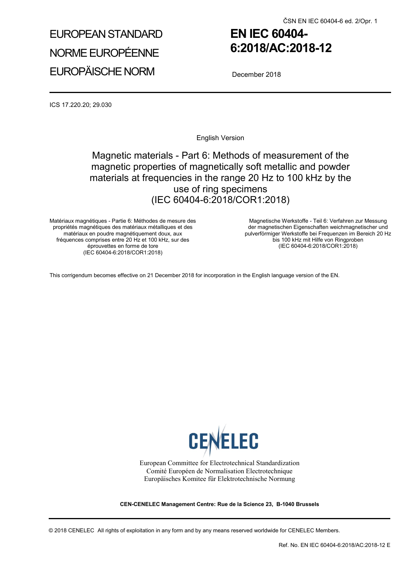# EUROPEAN STANDARD NORME EUROPÉENNE EUROPÄISCHE NORM

## **EN IEC 60404- 6:2018/AC:2018-12**

December 2018

ICS 17.220.20; 29.030

English Version

### Magnetic materials - Part 6: Methods of measurement of the magnetic properties of magnetically soft metallic and powder materials at frequencies in the range 20 Hz to 100 kHz by the use of ring specimens (IEC 60404-6:2018/COR1:2018)

Matériaux magnétiques - Partie 6: Méthodes de mesure des propriétés magnétiques des matériaux métalliques et des matériaux en poudre magnétiquement doux, aux fréquences comprises entre 20 Hz et 100 kHz, sur des éprouvettes en forme de tore (IEC 60404-6:2018/COR1:2018)

 Magnetische Werkstoffe - Teil 6: Verfahren zur Messung der magnetischen Eigenschaften weichmagnetischer und pulverförmiger Werkstoffe bei Frequenzen im Bereich 20 Hz bis 100 kHz mit Hilfe von Ringproben (IEC 60404-6:2018/COR1:2018)

This corrigendum becomes effective on 21 December 2018 for incorporation in the English language version of the EN.



European Committee for Electrotechnical Standardization Comité Européen de Normalisation Electrotechnique Europäisches Komitee für Elektrotechnische Normung

**CEN-CENELEC Management Centre: Rue de la Science 23, B-1040 Brussels** 

© 2018 CENELEC All rights of exploitation in any form and by any means reserved worldwide for CENELEC Members.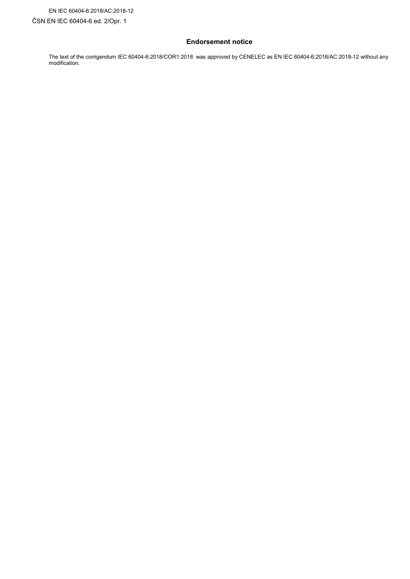EN IEC 60404-6:2018/AC:2018-12

ČSN EN IEC 60404-6 ed. 2/Opr. 1

#### **Endorsement notice**

The text of the corrigendum IEC 60404-6:2018/COR1:2018 was approved by CENELEC as EN IEC 60404-6:2018/AC:2018-12 without any modification.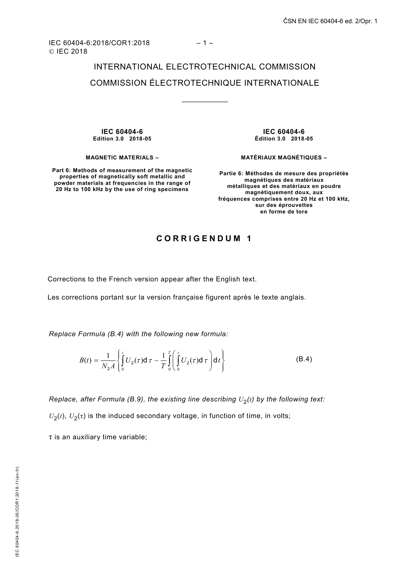IEC 60404-6:2018/COR1:2018 – 1 – © IEC 2018

## INTERNATIONAL ELECTROTECHNICAL COMMISSION COMMISSION ÉLECTROTECHNIQUE INTERNATIONALE

\_\_\_\_\_\_\_\_\_\_\_\_

**IEC 60404-6 Edition 3.0 2018-05**

**MAGNETIC MATERIALS –** 

**Part 6: Methods of measurement of the magnetic properties of magnetically soft metallic and powder materials at frequencies in the range of 20 Hz to 100 kHz by the use of ring specimens**

**IEC 60404-6 Édition 3.0 2018-05**

**MATÉRIAUX MAGNÉTIQUES –** 

**Partie 6: Méthodes de mesure des propriétés magnétiques des matériaux métalliques et des matériaux en poudre magnétiquement doux, aux fréquences comprises entre 20 Hz et 100 kHz, sur des éprouvettes en forme de tore**

### **CORRIGENDUM 1**

Corrections to the French version appear after the English text.

Les corrections portant sur la version française figurent après le texte anglais.

*Replace Formula (B.4) with the following new formula:*

$$
B(t) = \frac{1}{N_2 A} \left\{ \int_0^t U_2(\tau) d\tau - \frac{1}{T} \int_0^T \left( \int_0^t U_2(\tau) d\tau \right) dt \right\}
$$
(B.4)

*Replace, after Formula (B.9), the existing line describing*  $U_2(t)$  *by the following text:* 

*U*<sub>2</sub>(*t*), *U*<sub>2</sub>(*τ*) is the induced secondary voltage, in function of time, in volts;

τ is an auxiliary time variable;